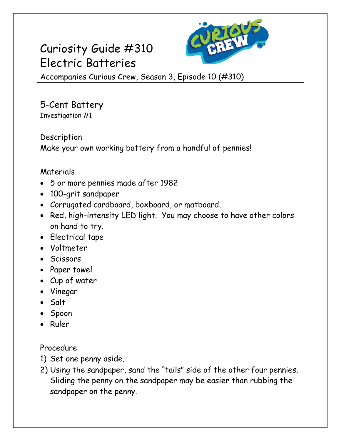## Curiosity Guide #310 Electric Batteries



Accompanies Curious Crew, Season 3, Episode 10 (#310)

5-Cent Battery Investigation #1

Description

Make your own working battery from a handful of pennies!

## Materials

- 5 or more pennies made after 1982
- 100-grit sandpaper
- Corrugated cardboard, boxboard, or matboard.
- Red, high-intensity LED light. You may choose to have other colors on hand to try.
- Electrical tape
- Voltmeter
- Scissors
- Paper towel
- Cup of water
- Vinegar
- Salt
- Spoon
- Ruler

Procedure

- 1) Set one penny aside.
- 2) Using the sandpaper, sand the "tails" side of the other four pennies. Sliding the penny on the sandpaper may be easier than rubbing the sandpaper on the penny.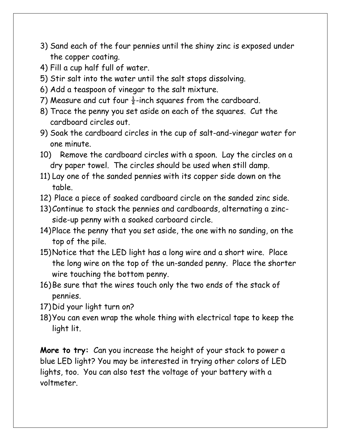- 3) Sand each of the four pennies until the shiny zinc is exposed under the copper coating.
- 4) Fill a cup half full of water.
- 5) Stir salt into the water until the salt stops dissolving.
- 6) Add a teaspoon of vinegar to the salt mixture.
- 7) Measure and cut four  $\frac{1}{2}$ -inch squares from the cardboard.
- 8) Trace the penny you set aside on each of the squares. Cut the cardboard circles out.
- 9) Soak the cardboard circles in the cup of salt-and-vinegar water for one minute.
- 10) Remove the cardboard circles with a spoon. Lay the circles on a dry paper towel. The circles should be used when still damp.
- 11) Lay one of the sanded pennies with its copper side down on the table.
- 12) Place a piece of soaked cardboard circle on the sanded zinc side.
- 13)Continue to stack the pennies and cardboards, alternating a zincside-up penny with a soaked carboard circle.
- 14)Place the penny that you set aside, the one with no sanding, on the top of the pile.
- 15)Notice that the LED light has a long wire and a short wire. Place the long wire on the top of the un-sanded penny. Place the shorter wire touching the bottom penny.
- 16)Be sure that the wires touch only the two ends of the stack of pennies.
- 17)Did your light turn on?
- 18)You can even wrap the whole thing with electrical tape to keep the light lit.

**More to try:** Can you increase the height of your stack to power a blue LED light? You may be interested in trying other colors of LED lights, too. You can also test the voltage of your battery with a voltmeter.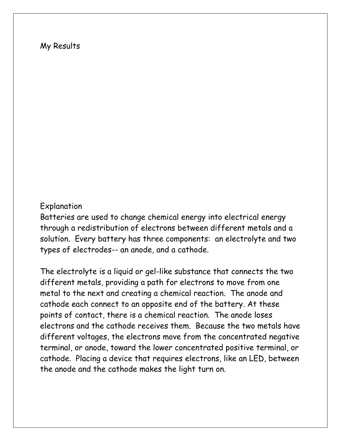## My Results

## Explanation

Batteries are used to change chemical energy into electrical energy through a redistribution of electrons between different metals and a solution. Every battery has three components: an electrolyte and two types of electrodes-- an anode, and a cathode.

The electrolyte is a liquid or gel-like substance that connects the two different metals, providing a path for electrons to move from one metal to the next and creating a chemical reaction. The anode and cathode each connect to an opposite end of the battery. At these points of contact, there is a chemical reaction. The anode loses electrons and the cathode receives them. Because the two metals have different voltages, the electrons move from the concentrated negative terminal, or anode, toward the lower concentrated positive terminal, or cathode. Placing a device that requires electrons, like an LED, between the anode and the cathode makes the light turn on.